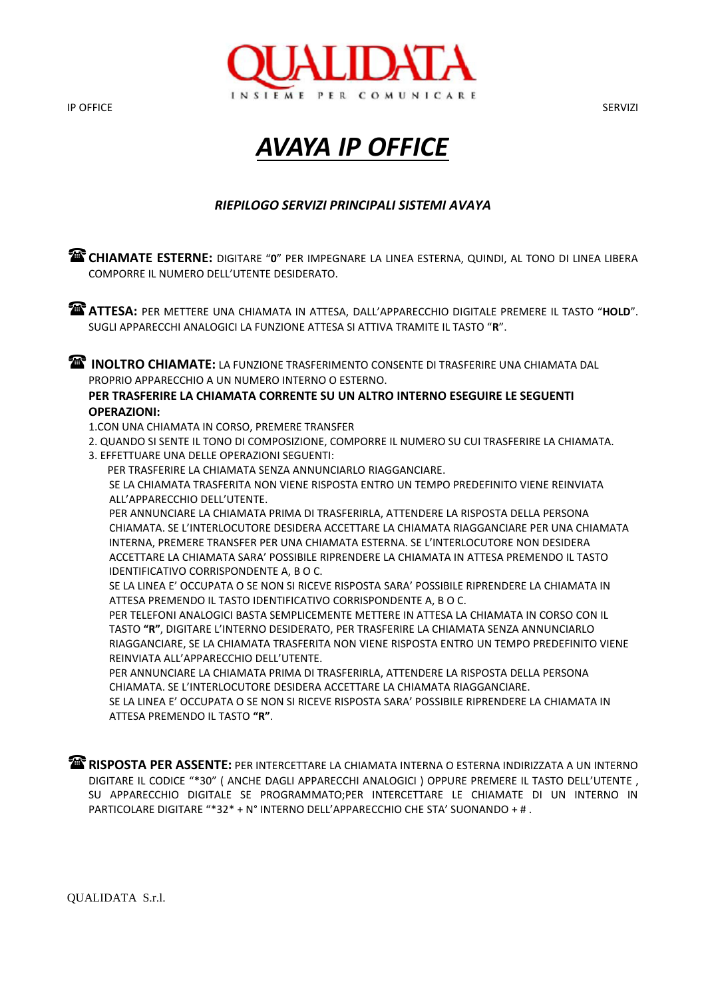IP OFFICE SERVIZI



## *AVAYA IP OFFICE*

### *RIEPILOGO SERVIZI PRINCIPALI SISTEMI AVAYA*

**CHIAMATE ESTERNE:** DIGITARE "0" PER IMPEGNARE LA LINEA ESTERNA, QUINDI, AL TONO DI LINEA LIBERA COMPORRE IL NUMERO DELL'UTENTE DESIDERATO. **ATTESA:** PER METTERE UNA CHIAMATA IN ATTESA, DALL'APPARECCHIO DIGITALE PREMERE IL TASTO "**HOLD**". SUGLI APPARECCHI ANALOGICI LA FUNZIONE ATTESA SI ATTIVA TRAMITE IL TASTO "**R**".

**INOLTRO CHIAMATE:** LA FUNZIONE TRASFERIMENTO CONSENTE DI TRASFERIRE UNA CHIAMATA DAL PROPRIO APPARECCHIO A UN NUMERO INTERNO O ESTERNO.

#### **PER TRASFERIRE LA CHIAMATA CORRENTE SU UN ALTRO INTERNO ESEGUIRE LE SEGUENTI OPERAZIONI:**

1.CON UNA CHIAMATA IN CORSO, PREMERE TRANSFER

- 2. QUANDO SI SENTE IL TONO DI COMPOSIZIONE, COMPORRE IL NUMERO SU CUI TRASFERIRE LA CHIAMATA.
- 3. EFFETTUARE UNA DELLE OPERAZIONI SEGUENTI:

PER TRASFERIRE LA CHIAMATA SENZA ANNUNCIARLO RIAGGANCIARE.

SE LA CHIAMATA TRASFERITA NON VIENE RISPOSTA ENTRO UN TEMPO PREDEFINITO VIENE REINVIATA ALL'APPARECCHIO DELL'UTENTE.

PER ANNUNCIARE LA CHIAMATA PRIMA DI TRASFERIRLA, ATTENDERE LA RISPOSTA DELLA PERSONA CHIAMATA. SE L'INTERLOCUTORE DESIDERA ACCETTARE LA CHIAMATA RIAGGANCIARE PER UNA CHIAMATA INTERNA, PREMERE TRANSFER PER UNA CHIAMATA ESTERNA. SE L'INTERLOCUTORE NON DESIDERA ACCETTARE LA CHIAMATA SARA' POSSIBILE RIPRENDERE LA CHIAMATA IN ATTESA PREMENDO IL TASTO IDENTIFICATIVO CORRISPONDENTE A, B O C.

SE LA LINEA E' OCCUPATA O SE NON SI RICEVE RISPOSTA SARA' POSSIBILE RIPRENDERE LA CHIAMATA IN ATTESA PREMENDO IL TASTO IDENTIFICATIVO CORRISPONDENTE A, B O C.

PER TELEFONI ANALOGICI BASTA SEMPLICEMENTE METTERE IN ATTESA LA CHIAMATA IN CORSO CON IL TASTO **"R"**, DIGITARE L'INTERNO DESIDERATO, PER TRASFERIRE LA CHIAMATA SENZA ANNUNCIARLO RIAGGANCIARE, SE LA CHIAMATA TRASFERITA NON VIENE RISPOSTA ENTRO UN TEMPO PREDEFINITO VIENE REINVIATA ALL'APPARECCHIO DELL'UTENTE.

PER ANNUNCIARE LA CHIAMATA PRIMA DI TRASFERIRLA, ATTENDERE LA RISPOSTA DELLA PERSONA CHIAMATA. SE L'INTERLOCUTORE DESIDERA ACCETTARE LA CHIAMATA RIAGGANCIARE.

SE LA LINEA E' OCCUPATA O SE NON SI RICEVE RISPOSTA SARA' POSSIBILE RIPRENDERE LA CHIAMATA IN ATTESA PREMENDO IL TASTO **"R"**.

**RISPOSTA PER ASSENTE:** PER INTERCETTARE LA CHIAMATA INTERNA O ESTERNA INDIRIZZATA A UN INTERNO DIGITARE IL CODICE "\*30" ( ANCHE DAGLI APPARECCHI ANALOGICI ) OPPURE PREMERE IL TASTO DELL'UTENTE , SU APPARECCHIO DIGITALE SE PROGRAMMATO;PER INTERCETTARE LE CHIAMATE DI UN INTERNO IN PARTICOLARE DIGITARE "\*32\* + N° INTERNO DELL'APPARECCHIO CHE STA' SUONANDO + # .

QUALIDATA S.r.l.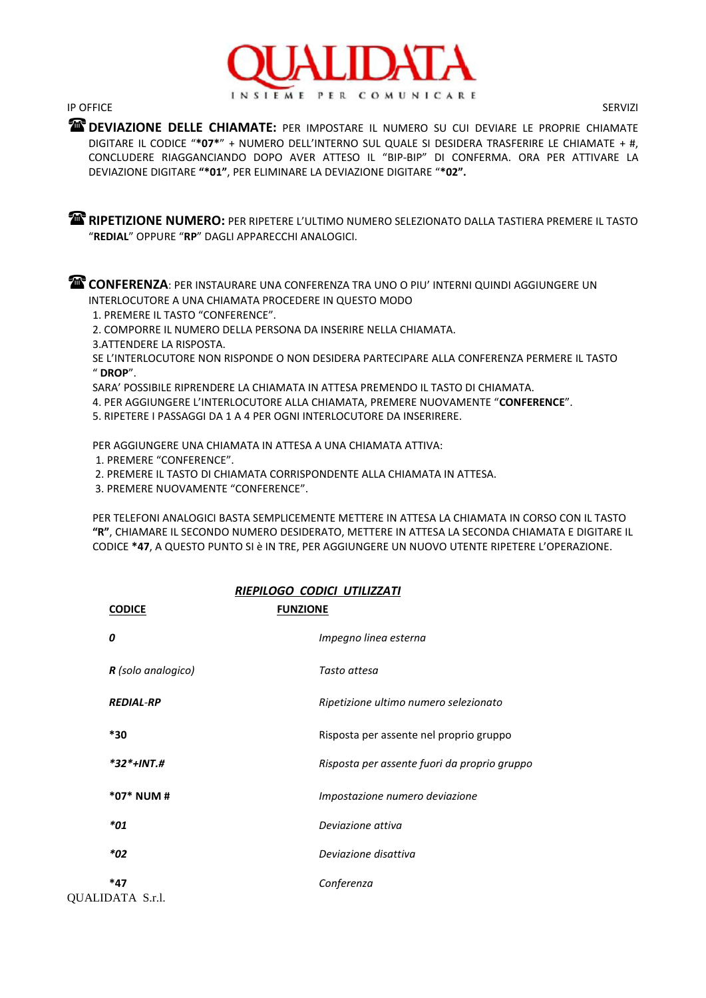

IP OFFICE SERVIZI

**DEVIAZIONE DELLE CHIAMATE:** PER IMPOSTARE IL NUMERO SU CUI DEVIARE LE PROPRIE CHIAMATE DIGITARE IL CODICE "**\*07\***" + NUMERO DELL'INTERNO SUL QUALE SI DESIDERA TRASFERIRE LE CHIAMATE + #, CONCLUDERE RIAGGANCIANDO DOPO AVER ATTESO IL "BIP-BIP" DI CONFERMA. ORA PER ATTIVARE LA DEVIAZIONE DIGITARE **"\*01"**, PER ELIMINARE LA DEVIAZIONE DIGITARE "**\*02".**

**RIPETIZIONE NUMERO:** PER RIPETERE L'ULTIMO NUMERO SELEZIONATO DALLA TASTIERA PREMERE IL TASTO "**REDIAL**" OPPURE "**RP**" DAGLI APPARECCHI ANALOGICI.

**CONFERENZA**: PER INSTAURARE UNA CONFERENZA TRA UNO O PIU' INTERNI QUINDI AGGIUNGERE UN INTERLOCUTORE A UNA CHIAMATA PROCEDERE IN QUESTO MODO

1. PREMERE IL TASTO "CONFERENCE".

2. COMPORRE IL NUMERO DELLA PERSONA DA INSERIRE NELLA CHIAMATA.

3.ATTENDERE LA RISPOSTA.

SE L'INTERLOCUTORE NON RISPONDE O NON DESIDERA PARTECIPARE ALLA CONFERENZA PERMERE IL TASTO " **DROP**".

SARA' POSSIBILE RIPRENDERE LA CHIAMATA IN ATTESA PREMENDO IL TASTO DI CHIAMATA.

4. PER AGGIUNGERE L'INTERLOCUTORE ALLA CHIAMATA, PREMERE NUOVAMENTE "**CONFERENCE**".

5. RIPETERE I PASSAGGI DA 1 A 4 PER OGNI INTERLOCUTORE DA INSERIRERE.

PER AGGIUNGERE UNA CHIAMATA IN ATTESA A UNA CHIAMATA ATTIVA:

- 1. PREMERE "CONFERENCE".
- 2. PREMERE IL TASTO DI CHIAMATA CORRISPONDENTE ALLA CHIAMATA IN ATTESA.
- 3. PREMERE NUOVAMENTE "CONFERENCE".

PER TELEFONI ANALOGICI BASTA SEMPLICEMENTE METTERE IN ATTESA LA CHIAMATA IN CORSO CON IL TASTO **"R"**, CHIAMARE IL SECONDO NUMERO DESIDERATO, METTERE IN ATTESA LA SECONDA CHIAMATA E DIGITARE IL CODICE **\*47**, A QUESTO PUNTO SI è IN TRE, PER AGGIUNGERE UN NUOVO UTENTE RIPETERE L'OPERAZIONE.

| RIEPILOGO CODICI UTILIZZATI |                                              |
|-----------------------------|----------------------------------------------|
| <b>CODICE</b>               | <b>FUNZIONE</b>                              |
| 0                           | Impegno linea esterna                        |
| <b>R</b> (solo analogico)   | Tasto attesa                                 |
| <b>REDIAL-RP</b>            | Ripetizione ultimo numero selezionato        |
| *30                         | Risposta per assente nel proprio gruppo      |
| $*32*+INT.H$                | Risposta per assente fuori da proprio gruppo |
| *07* NUM #                  | Impostazione numero deviazione               |
| *01                         | Deviazione attiva                            |
| *02                         | Deviazione disattiva                         |
| *47<br>IN AT A C  1         | Conferenza                                   |

QUALIDATA S.r.l.